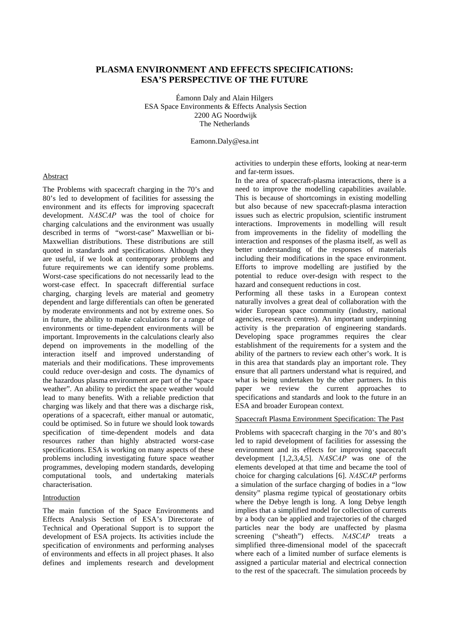# **PLASMA ENVIRONMENT AND EFFECTS SPECIFICATIONS: ESA'S PERSPECTIVE OF THE FUTURE**

Éamonn Daly and Alain Hilgers ESA Space Environments & Effects Analysis Section 2200 AG Noordwijk The Netherlands

Eamonn.Daly@esa.int

#### Abstract

The Problems with spacecraft charging in the 70's and 80's led to development of facilities for assessing the environment and its effects for improving spacecraft development. *NASCAP* was the tool of choice for charging calculations and the environment was usually described in terms of "worst-case" Maxwellian or bi-Maxwellian distributions. These distributions are still quoted in standards and specifications. Although they are useful, if we look at contemporary problems and future requirements we can identify some problems. Worst-case specifications do not necessarily lead to the worst-case effect. In spacecraft differential surface charging, charging levels are material and geometry dependent and large differentials can often be generated by moderate environments and not by extreme ones. So in future, the ability to make calculations for a range of environments or time-dependent environments will be important. Improvements in the calculations clearly also depend on improvements in the modelling of the interaction itself and improved understanding of materials and their modifications. These improvements could reduce over-design and costs. The dynamics of the hazardous plasma environment are part of the "space weather". An ability to predict the space weather would lead to many benefits. With a reliable prediction that charging was likely and that there was a discharge risk, operations of a spacecraft, either manual or automatic, could be optimised. So in future we should look towards specification of time-dependent models and data resources rather than highly abstracted worst-case specifications. ESA is working on many aspects of these problems including investigating future space weather programmes, developing modern standards, developing computational tools, and undertaking materials characterisation.

### Introduction

The main function of the Space Environments and Effects Analysis Section of ESA's Directorate of Technical and Operational Support is to support the development of ESA projects. Its activities include the specification of environments and performing analyses of environments and effects in all project phases. It also defines and implements research and development activities to underpin these efforts, looking at near-term and far-term issues.

In the area of spacecraft-plasma interactions, there is a need to improve the modelling capabilities available. This is because of shortcomings in existing modelling but also because of new spacecraft-plasma interaction issues such as electric propulsion, scientific instrument interactions. Improvements in modelling will result from improvements in the fidelity of modelling the interaction and responses of the plasma itself, as well as better understanding of the responses of materials including their modifications in the space environment. Efforts to improve modelling are justified by the potential to reduce over-design with respect to the hazard and consequent reductions in cost.

Performing all these tasks in a European context naturally involves a great deal of collaboration with the wider European space community (industry, national agencies, research centres). An important underpinning activity is the preparation of engineering standards. Developing space programmes requires the clear establishment of the requirements for a system and the ability of the partners to review each other's work. It is in this area that standards play an important role. They ensure that all partners understand what is required, and what is being undertaken by the other partners. In this paper we review the current approaches to specifications and standards and look to the future in an ESA and broader European context.

## Spacecraft Plasma Environment Specification: The Past

Problems with spacecraft charging in the 70's and 80's led to rapid development of facilities for assessing the environment and its effects for improving spacecraft development [1,2,3,4,5]. *NASCAP* was one of the elements developed at that time and became the tool of choice for charging calculations [6]. *NASCAP* performs a simulation of the surface charging of bodies in a "low density" plasma regime typical of geostationary orbits where the Debye length is long. A long Debye length implies that a simplified model for collection of currents by a body can be applied and trajectories of the charged particles near the body are unaffected by plasma screening ("sheath") effects. *NASCAP* treats a simplified three-dimensional model of the spacecraft where each of a limited number of surface elements is assigned a particular material and electrical connection to the rest of the spacecraft. The simulation proceeds by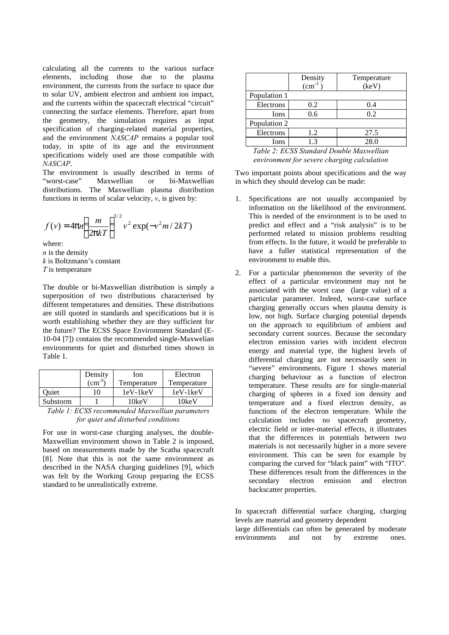calculating all the currents to the various surface elements, including those due to the plasma environment, the currents from the surface to space due to solar UV, ambient electron and ambient ion impact, and the currents within the spacecraft electrical "circuit" connecting the surface elements. Therefore, apart from the geometry, the simulation requires as input specification of charging-related material properties, and the environment *NASCAP* remains a popular tool today, in spite of its age and the environment specifications widely used are those compatible with *NASCAP*.

The environment is usually described in terms of "worst-case" Maxwellian or bi-Maxwellian distributions. The Maxwellian plasma distribution functions in terms of scalar velocity,  $v$ , is given by:

$$
f(v) = 4pn\left(\frac{m}{2pkT}\right)^{3/2}v^2\exp(-v^2m/2kT)
$$

where:

*n* is the density *k* is Boltzmann's constant *T* is temperature

The double or bi-Maxwellian distribution is simply a superposition of two distributions characterised by different temperatures and densities. These distributions are still quoted in standards and specifications but it is worth establishing whether they are they sufficient for the future? The ECSS Space Environment Standard (E-10-04 [7]) contains the recommended single-Maxwelian environments for quiet and disturbed times shown in Table 1.

|          | Density          | Ion         | Electron    |
|----------|------------------|-------------|-------------|
|          | $\text{cm}^{-3}$ | Temperature | Temperature |
| Ouiet    | 10               | 1eV-1keV    | $1eV-1keV$  |
| Substorm |                  | 10keV       | 10keV       |

*Table 1: ECSS recommended Maxwellian parameters for quiet and disturbed conditions*

For use in worst-case charging analyses, the double-Maxwellian environment shown in Table 2 is imposed, based on measurements made by the Scatha spacecraft [8]. Note that this is not the same environment as described in the NASA charging guidelines [9], which was felt by the Working Group preparing the ECSS standard to be unrealistically extreme.

|              | Density<br>$\text{cm}^{-3}$ | Temperature<br>(keV) |  |
|--------------|-----------------------------|----------------------|--|
| Population 1 |                             |                      |  |
| Electrons    | 0.2                         | 0.4                  |  |
| Ions         | 0.6                         | 0.2                  |  |
| Population 2 |                             |                      |  |
| Electrons    | 1.2                         | 27.5                 |  |
| Ions         | 1.3                         | 28.0                 |  |

*Table 2: ECSS Standard Double Maxwellian environment for severe charging calculation*

Two important points about specifications and the way in which they should develop can be made:

- 1. Specifications are not usually accompanied by information on the likelihood of the environment. This is needed of the environment is to be used to predict and effect and a "risk analysis" is to be performed related to mission problems resulting from effects. In the future, it would be preferable to have a fuller statistical representation of the environment to enable this.
- 2. For a particular phenomenon the severity of the effect of a particular environment may not be associated with the worst case (large value) of a particular parameter. Indeed, worst-case surface charging generally occurs when plasma density is low, not high. Surface charging potential depends on the approach to equilibrium of ambient and secondary current sources. Because the secondary electron emission varies with incident electron energy and material type, the highest levels of differential charging are not necessarily seen in "severe" environments. Figure 1 shows material charging behaviour as a function of electron temperature. These results are for single-material charging of spheres in a fixed ion density and temperature and a fixed electron density, as functions of the electron temperature. While the calculation includes no spacecraft geometry, electric field or inter-material effects, it illustrates that the differences in potentials between two materials is not necessarily higher in a more severe environment. This can be seen for example by comparing the curved for "black paint" with "ITO". These differences result from the differences in the secondary electron emission and electron backscatter properties.

In spacecraft differential surface charging, charging levels are material and geometry dependent large differentials can often be generated by moderate environments and not by extreme ones.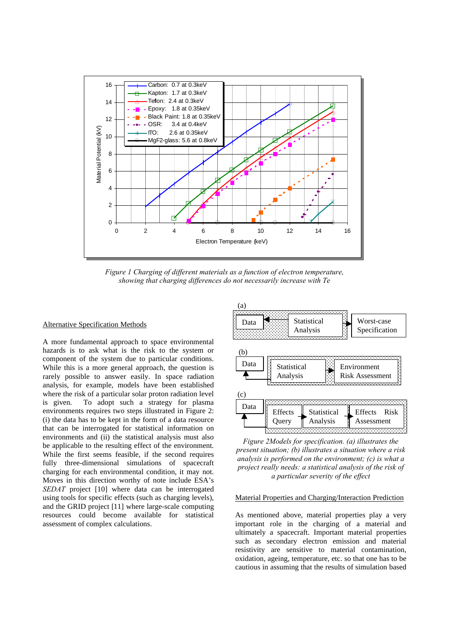

*Figure 1 Charging of different materials as a function of electron temperature, showing that charging differences do not necessarily increase with Te*

#### Alternative Specification Methods

A more fundamental approach to space environmental hazards is to ask what is the risk to the system or component of the system due to particular conditions. While this is a more general approach, the question is rarely possible to answer easily. In space radiation analysis, for example, models have been established where the risk of a particular solar proton radiation level is given. To adopt such a strategy for plasma environments requires two steps illustrated in Figure 2: (i) the data has to be kept in the form of a data resource that can be interrogated for statistical information on environments and (ii) the statistical analysis must also be applicable to the resulting effect of the environment. While the first seems feasible, if the second requires fully three-dimensional simulations of spacecraft charging for each environmental condition, it may not. Moves in this direction worthy of note include ESA's *SEDAT* project [10] where data can be interrogated using tools for specific effects (such as charging levels), and the GRID project [11] where large-scale computing resources could become available for statistical assessment of complex calculations.



*Figure 2Models for specification. (a) illustrates the present situation; (b) illustrates a situation where a risk analysis is performed on the environment; (c) is what a project really needs: a statistical analysis of the risk of a particular severity of the effect*

#### Material Properties and Charging/Interaction Prediction

As mentioned above, material properties play a very important role in the charging of a material and ultimately a spacecraft. Important material properties such as secondary electron emission and material resistivity are sensitive to material contamination, oxidation, ageing, temperature, etc. so that one has to be cautious in assuming that the results of simulation based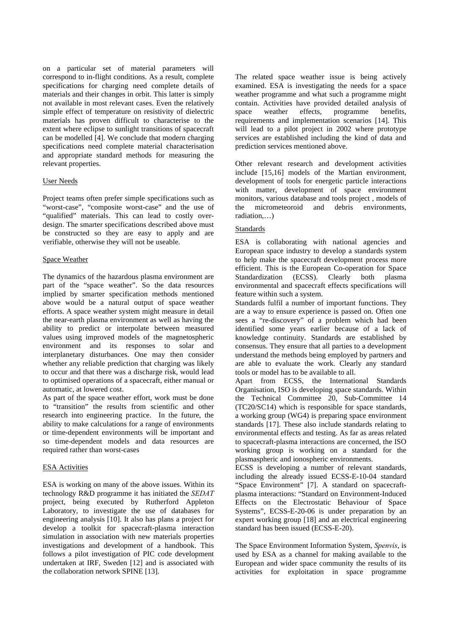on a particular set of material parameters will correspond to in-flight conditions. As a result, complete specifications for charging need complete details of materials and their changes in orbit. This latter is simply not available in most relevant cases. Even the relatively simple effect of temperature on resistivity of dielectric materials has proven difficult to characterise to the extent where eclipse to sunlight transitions of spacecraft can be modelled [4]. We conclude that modern charging specifications need complete material characterisation and appropriate standard methods for measuring the relevant properties.

### User Needs

Project teams often prefer simple specifications such as "worst-case", "composite worst-case" and the use of "qualified" materials. This can lead to costly overdesign. The smarter specifications described above must be constructed so they are easy to apply and are verifiable, otherwise they will not be useable.

### Space Weather

The dynamics of the hazardous plasma environment are part of the "space weather". So the data resources implied by smarter specification methods mentioned above would be a natural output of space weather efforts. A space weather system might measure in detail the near-earth plasma environment as well as having the ability to predict or interpolate between measured values using improved models of the magnetospheric environment and its responses to solar and interplanetary disturbances. One may then consider whether any reliable prediction that charging was likely to occur and that there was a discharge risk, would lead to optimised operations of a spacecraft, either manual or automatic, at lowered cost.

As part of the space weather effort, work must be done to "transition" the results from scientific and other research into engineering practice. In the future, the ability to make calculations for a range of environments or time-dependent environments will be important and so time-dependent models and data resources are required rather than worst-cases

#### ESA Activities

ESA is working on many of the above issues. Within its technology R&D programme it has initiated the *SEDAT* project, being executed by Rutherford Appleton Laboratory, to investigate the use of databases for engineering analysis [10]. It also has plans a project for develop a toolkit for spacecraft-plasma interaction simulation in association with new materials properties investigations and development of a handbook. This follows a pilot investigation of PIC code development undertaken at IRF, Sweden [12] and is associated with the collaboration network SPINE [13].

The related space weather issue is being actively examined. ESA is investigating the needs for a space weather programme and what such a programme might contain. Activities have provided detailed analysis of space weather effects, programme benefits, requirements and implementation scenarios [14]. This will lead to a pilot project in 2002 where prototype services are established including the kind of data and prediction services mentioned above.

Other relevant research and development activities include [15,16] models of the Martian environment, development of tools for energetic particle interactions with matter, development of space environment monitors, various database and tools project , models of the micrometeoroid and debris environments, radiation,…)

## Standards

ESA is collaborating with national agencies and European space industry to develop a standards system to help make the spacecraft development process more efficient. This is the European Co-operation for Space Standardization (ECSS). Clearly both plasma environmental and spacecraft effects specifications will feature within such a system.

Standards fulfil a number of important functions. They are a way to ensure experience is passed on. Often one sees a "re-discovery" of a problem which had been identified some years earlier because of a lack of knowledge continuity. Standards are established by consensus. They ensure that all parties to a development understand the methods being employed by partners and are able to evaluate the work. Clearly any standard tools or model has to be available to all.

Apart from ECSS, the International Standards Organisation, ISO is developing space standards. Within the Technical Committee 20, Sub-Committee 14 (TC20/SC14) which is responsible for space standards, a working group (WG4) is preparing space environment standards [17]. These also include standards relating to environmental effects and testing. As far as areas related to spacecraft-plasma interactions are concerned, the ISO working group is working on a standard for the plasmaspheric and ionospheric environments.

ECSS is developing a number of relevant standards, including the already issued ECSS-E-10-04 standard "Space Environment" [7]. A standard on spacecraftplasma interactions: "Standard on Environment-Induced Effects on the Electrostatic Behaviour of Space Systems", ECSS-E-20-06 is under preparation by an expert working group [18] and an electrical engineering standard has been issued (ECSS-E-20).

The Space Environment Information System, *Spenvis*, is used by ESA as a channel for making available to the European and wider space community the results of its activities for exploitation in space programme